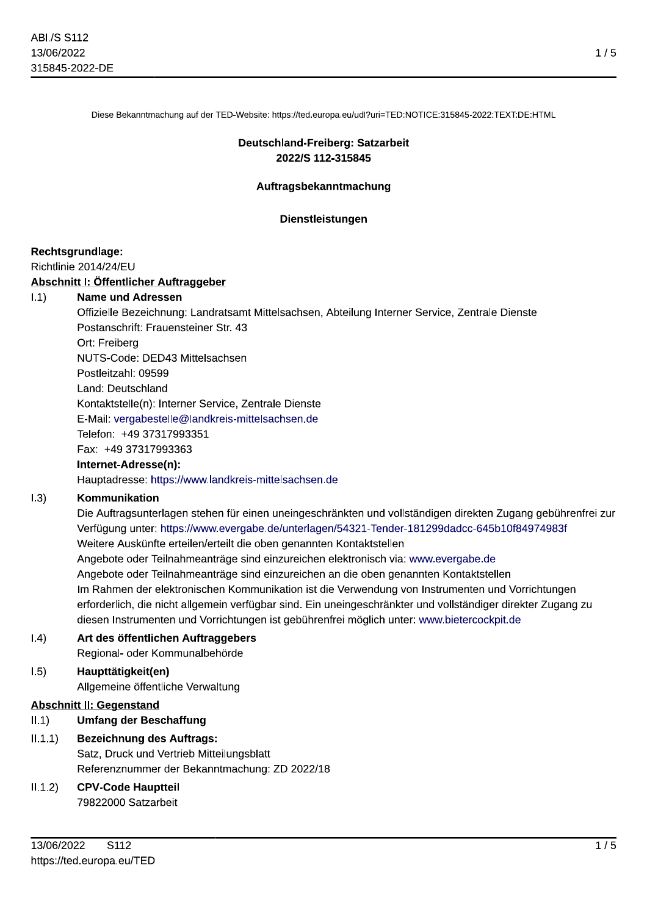Diese Bekanntmachung auf der TED-Website: https://ted.europa.eu/udl?uri=TED:NOTICE:315845-2022:TEXT:DE:HTML

### Deutschland-Freiberg: Satzarbeit 2022/S 112-315845

### Auftragsbekanntmachung

#### Dienstleistungen

#### Rechtsgrundlage:

#### Richtlinie 2014/24/EU

### Abschnitt I: Öffentlicher Auftraggeber

#### $1.1)$ **Name und Adressen**

Offizielle Bezeichnung: Landratsamt Mittelsachsen, Abteilung Interner Service, Zentrale Dienste Postanschrift: Frauensteiner Str. 43 Ort: Freiberg NUTS-Code: DED43 Mittelsachsen Postleitzahl: 09599 Land: Deutschland Kontaktstelle(n): Interner Service, Zentrale Dienste E-Mail: vergabestelle@landkreis-mittelsachsen.de Telefon: +49 37317993351 Fax: +49 37317993363

### Internet-Adresse(n):

Hauptadresse: https://www.landkreis-mittelsachsen.de

#### $1.3)$ Kommunikation

Die Auftragsunterlagen stehen für einen uneingeschränkten und vollständigen direkten Zugang gebührenfrei zur Verfügung unter: https://www.evergabe.de/unterlagen/54321-Tender-181299dadcc-645b10f84974983f Weitere Auskünfte erteilen/erteilt die oben genannten Kontaktstellen Angebote oder Teilnahmeanträge sind einzureichen elektronisch via: www.evergabe.de Angebote oder Teilnahmeanträge sind einzureichen an die oben genannten Kontaktstellen Im Rahmen der elektronischen Kommunikation ist die Verwendung von Instrumenten und Vorrichtungen erforderlich, die nicht allgemein verfügbar sind. Ein uneingeschränkter und vollständiger direkter Zugang zu diesen Instrumenten und Vorrichtungen ist gebührenfrei möglich unter: www.bietercockpit.de

#### $(0.4)$ Art des öffentlichen Auftraggebers

Regional- oder Kommunalbehörde

#### Haupttätigkeit(en)  $1.5)$

Allgemeine öffentliche Verwaltung

### **Abschnitt II: Gegenstand**

#### $II.1$ **Umfang der Beschaffung**

 $II.1.1)$ **Bezeichnung des Auftrags:** Satz, Druck und Vertrieb Mitteilungsblatt Referenznummer der Bekanntmachung: ZD 2022/18

#### $II.1.2)$ **CPV-Code Hauptteil**

79822000 Satzarbeit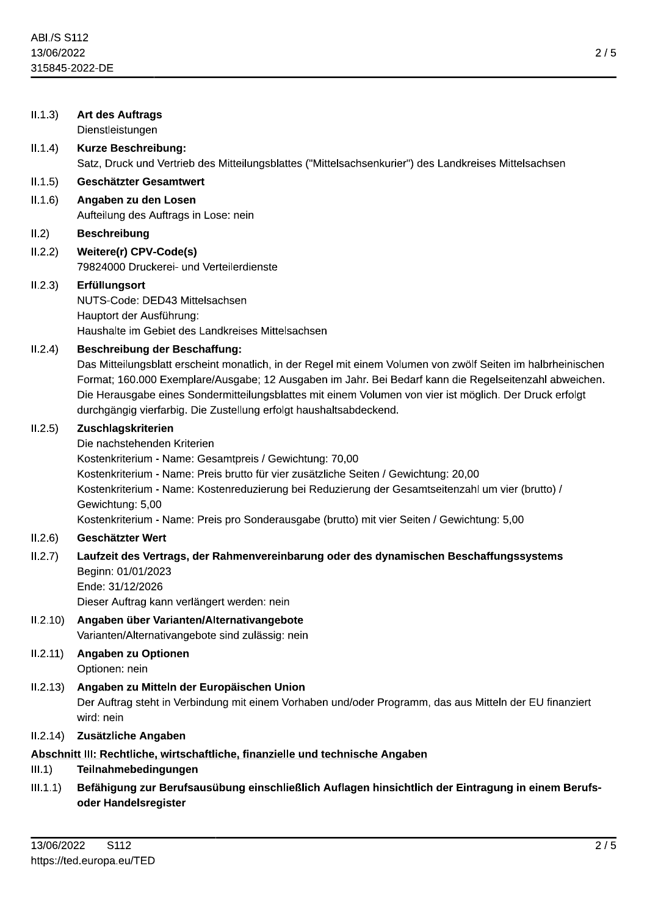| II.1.3)                                                                                                          | <b>Art des Auftrags</b><br>Dienstleistungen                                                                                                                                                                                                                                                                                                                                                                                                     |
|------------------------------------------------------------------------------------------------------------------|-------------------------------------------------------------------------------------------------------------------------------------------------------------------------------------------------------------------------------------------------------------------------------------------------------------------------------------------------------------------------------------------------------------------------------------------------|
| II.1.4)                                                                                                          | <b>Kurze Beschreibung:</b><br>Satz, Druck und Vertrieb des Mitteilungsblattes ("Mittelsachsenkurier") des Landkreises Mittelsachsen                                                                                                                                                                                                                                                                                                             |
| II.1.5)                                                                                                          | Geschätzter Gesamtwert                                                                                                                                                                                                                                                                                                                                                                                                                          |
| II.1.6)                                                                                                          | Angaben zu den Losen<br>Aufteilung des Auftrags in Lose: nein                                                                                                                                                                                                                                                                                                                                                                                   |
| II.2)                                                                                                            | <b>Beschreibung</b>                                                                                                                                                                                                                                                                                                                                                                                                                             |
| II.2.2)                                                                                                          | Weitere(r) CPV-Code(s)<br>79824000 Druckerei- und Verteilerdienste                                                                                                                                                                                                                                                                                                                                                                              |
| II.2.3)                                                                                                          | Erfüllungsort<br>NUTS-Code: DED43 Mittelsachsen<br>Hauptort der Ausführung:<br>Haushalte im Gebiet des Landkreises Mittelsachsen                                                                                                                                                                                                                                                                                                                |
| II.2.4)                                                                                                          | <b>Beschreibung der Beschaffung:</b><br>Das Mitteilungsblatt erscheint monatlich, in der Regel mit einem Volumen von zwölf Seiten im halbrheinischen<br>Format; 160.000 Exemplare/Ausgabe; 12 Ausgaben im Jahr. Bei Bedarf kann die Regelseitenzahl abweichen.<br>Die Herausgabe eines Sondermitteilungsblattes mit einem Volumen von vier ist möglich. Der Druck erfolgt<br>durchgängig vierfarbig. Die Zustellung erfolgt haushaltsabdeckend. |
| II.2.5)                                                                                                          | Zuschlagskriterien<br>Die nachstehenden Kriterien<br>Kostenkriterium - Name: Gesamtpreis / Gewichtung: 70,00<br>Kostenkriterium - Name: Preis brutto für vier zusätzliche Seiten / Gewichtung: 20,00<br>Kostenkriterium - Name: Kostenreduzierung bei Reduzierung der Gesamtseitenzahl um vier (brutto) /<br>Gewichtung: 5,00<br>Kostenkriterium - Name: Preis pro Sonderausgabe (brutto) mit vier Seiten / Gewichtung: 5,00                    |
| II.2.6)                                                                                                          | Geschätzter Wert                                                                                                                                                                                                                                                                                                                                                                                                                                |
| II.2.7)                                                                                                          | Laufzeit des Vertrags, der Rahmenvereinbarung oder des dynamischen Beschaffungssystems<br>Beginn: 01/01/2023<br>Ende: 31/12/2026<br>Dieser Auftrag kann verlängert werden: nein                                                                                                                                                                                                                                                                 |
| 11.2.10)                                                                                                         | Angaben über Varianten/Alternativangebote<br>Varianten/Alternativangebote sind zulässig: nein                                                                                                                                                                                                                                                                                                                                                   |
| 11.2.11)                                                                                                         | Angaben zu Optionen<br>Optionen: nein                                                                                                                                                                                                                                                                                                                                                                                                           |
| II.2.13)                                                                                                         | Angaben zu Mitteln der Europäischen Union<br>Der Auftrag steht in Verbindung mit einem Vorhaben und/oder Programm, das aus Mitteln der EU finanziert<br>wird: nein                                                                                                                                                                                                                                                                              |
| II.2.14)                                                                                                         | Zusätzliche Angaben                                                                                                                                                                                                                                                                                                                                                                                                                             |
| Abschnitt III: Rechtliche, wirtschaftliche, finanzielle und technische Angaben<br>Teilnahmebedingungen<br>III.1) |                                                                                                                                                                                                                                                                                                                                                                                                                                                 |
| III.1.1)                                                                                                         | Befähigung zur Berufsausübung einschließlich Auflagen hinsichtlich der Eintragung in einem Berufs-<br>oder Handelsregister                                                                                                                                                                                                                                                                                                                      |
| 120020222<br>C110<br>$\Omega$                                                                                    |                                                                                                                                                                                                                                                                                                                                                                                                                                                 |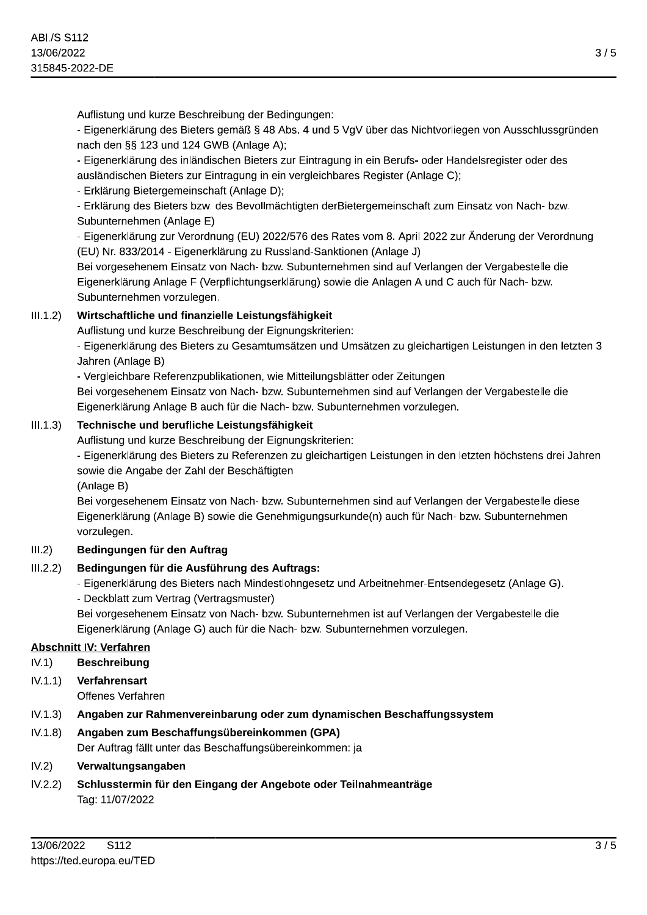Auflistung und kurze Beschreibung der Bedingungen:

- Eigenerklarung des Bieters gemais 3 48 Abs. 4 und 5 vgV über das Nichtvorliegen von Ausschlus 3 / 5<br>
egen von Ausschlussgründen<br>
Indelsregister oder des<br>
;<br>Einsatz von Nach- bzw.<br>
ur Änderung der Verordnung  $\,$ nach den §§ 123 und 124 GWB (Anlage A);

und kurze Beschreibung der Bedingungen:<br>ärung des Bieters gemäß § 48 Abs. 4 und 5 VgV über das Nichtvorliege<br>i§ 123 und 124 GWB (Anlage A);<br>ärung des inländischen Bieters zur Eintragung in ein Berufs- oder Hande<br>hen Bieter - Eigenerklarung des inlandischen Bleters zur Eintragung in ein Beruts- oder Handelsregister oder des ausiandischen Bieters zur Eintragung in ein vergieichbares Register (Anlage C);

- Erklarung Bietergemeinschaft (Anlage D);

- Erklarung des Bleters bzw. des Bevollmachtigten derBletergemeinschaft zum Einsatz von Nach- bzw. Subunternenmen (Anlage E)

- Eigenerklarung zur Verordnung (EU) 2022/576 des Rates vom 8. April 2022 zur Anderung der Verordnung (EU) Nr. 833/2014 - Eigenerklarung zu Russiand-Sanktionen (Anlage J)

Bei vorgesenenem Einsatz von Nach- bzw. Subunternenmen sind auf verlangen der Vergabestelle die Eigenerklarung Anlage F (Verpflichtungserklarung) sowie die Anlag ausanausoren buccio zur Emmangang in em vergicellikates Negisten (Amage O);<br>- Erklärung Bietergemeinschaft (Anlage D);<br>- Erklärung des Bieters bzw. des Bevollmächtigten derBietergemeinschaft zum Einsatz von Nach- bzw.<br>Subu Subunternehmen vorzulegen.

## $|III.1.2|$  Wirtschaftliche und finanzielle Leistungsfähigkeit

Auflistung und kurze Beschreibung der Eignungskriterien:

- Eigenerklarung des Bieters zu Gesamtumsatzen und Omsatzen zu gielchartigen Leistungen in den letzten 3 Janren (Anlage B)

 $\overline{\phantom{a}}$  vergieichbare Referenzpublikationen, wie Mittellungsblatter oder Zeitungen –

Bei vorgesenenem Einsatz von Nach- bzw. Subunternenmen sind auf verlangen der Vergabestelle die Eigenerklarung Anlage B auch für die Nach- bzw. Subunternehmen vorzulegen. **iftliche und finanzielle Leistungsfähigkeit**<br>
I und kurze Beschreibung der Eignungskriterien:<br>
klärung des Bieters zu Gesamtumsätzen und Umsätzen zu gleicha<br>
klärung des Bieters zu Gesamtumsätzen und Umsätzen zu gleicha<br>

## $III.1.3$ ) Technische und berufliche Leistungsfähigkeit

Auflistung und kurze Beschreibung der Eignungskriterien:

- Eigenerklarung des Bieters zu Referenzen zu gieichartigen Leistungen in den letzten hochstens drei Jahren sowie die Angabe der Zahl der Beschaftigten

(Aniage B)

Bei vorgesenenem Einsatz von Nach- bzw. Subunternenmen sind auf verlangen der Vergabestelle diese Eigenerklarung (Anlag Technische und berufliche Leistungsfähigkeit<br>
Auflistung und kurze Beschreibung der Eignungskriterien:<br>
Auflistung und kurze Beschreibung der Eignungskriterien:<br>
- Eigenerklärung des Bieters zu Referenzen zu gleichartigen vorzulegen.

## III.2) Bedingungen für den Auftrag

## III.2.2) Bedingungen für die Ausführung des Auftrags:

- Eigenerklarung des Bieters nach Mindestionngesetz und Arbeithehmer-Entsendegesetz (Anlage G). -

- Deckblatt zum Vertrag (Vertragsmuster)

Bei vorgesenenem Einsatz von Nach- bzw. Subunternenmen ist auf Verlangen der Vergabestelle die Eigenerklarung (Anlage G) auch für die Nach- bzw. Subunternehmen vorzulegen. Instituted Multram<br>
1999 für die Ausführung des Auftrags:<br>
2999 für die Ausführung des Auftrags:<br>
2999 färung des Bieters nach Mindestlohngesetz und Arbeitnehmer-Ents<br>
2009 zum Vertrag (Vertragsmuster)<br>
2009 fehenem Einsat

## Abschnitt IV: Verfahren

- IV.1) Beschreibung
- IV.1.1) Verfahrensart

Offenes Verfahren

 $|V.1.3\rangle$  Angaben zur Rahmenvereinbarung oder zum dynamischen Beschaffungssystem

## IV.1.8) Angaben zum Beschaffungsübereinkommen (GPA)

Der Auftrag fallt l

(1.1.1) Beschreibung<br>
(1.1.1) Verfahrensart<br>
(1.1.1.1) Verfahrensart<br>
Offenes Verfahren<br>
1.1.1.3) Angaben zur Rahmenvereinbarung oder zum dynamischen Beschaffu<br>
1.1.1.3) Angaben zum Beschaffungsübereinkommen (GPA)<br>
Der Auf 112022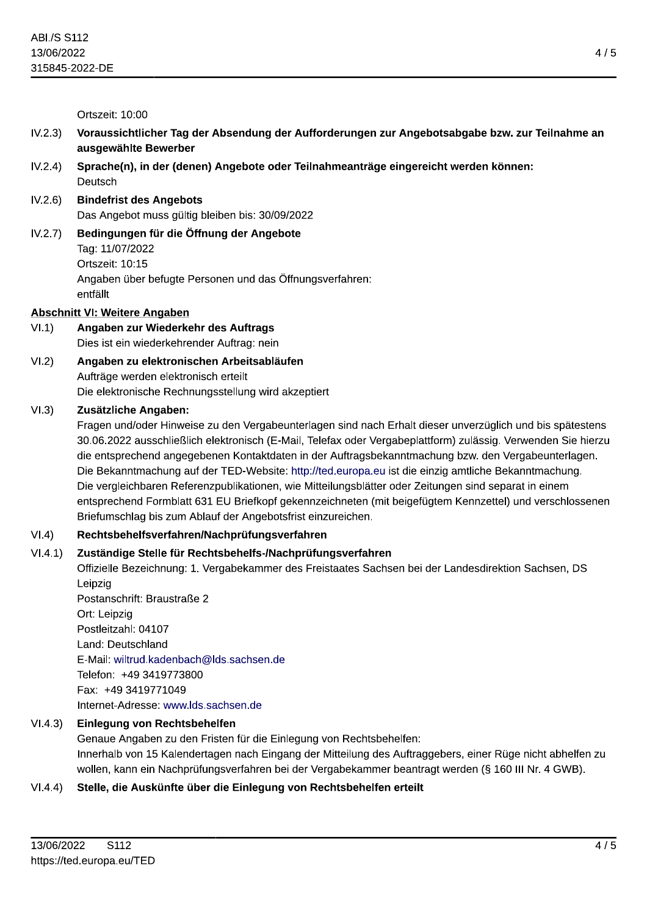Ortszeit: 10:00

- ABI/S S112<br>
13/06/2022<br>
13/5845-2022-DE<br>
16/tszeit: 10:00<br>
17/tszeit: 10:00<br>
17/tszeit: 10:00<br>
17/tszeit: 10:00<br>
17/tszeit: 10:00<br>
17/tszeit: 10:00<br>
17/tszeit: 10:00<br>
17/tszeit: 10:00<br>
17/tszeit: 10:00<br>
17/tszeit: 10:00<br>
1
- 
- tig bleiben bis: 30/09/2022
- 13/06/2022<br>
315845-2022-DE<br>
Ortszeit: 10:00<br>
IV.2.3) Voraussichtlicher Tag der Absendung der Aufforderungen zur Angebotsabgabe bzw. zur T<br>
ausgewählte Bewerber<br>
IV.2.4) Sprache(n), in der (denen) Angebote oder Teilnahmeant IV.2.7) Bedingungen für die Öffnung der Angebote 1ag: 11/07/2022 OII SZEII: 10:15 Angaben über befugte Personen und das Öffnungsverfahren: entralit

### Abschnitt VI: Weitere Angaben

# VI.1) Angaben zur Wiederkehr des Auftrags<br>Dies ist ein wiederkehrender Auftrag: nein

ektronisch erteilt Die eiektronische Rechnungsstellur

Ortszeit: 10:15<br>
Angaben über befugte Personen und das Öffnungsverfahren:<br>
entfällt<br> **Abschnitt VI: Weitere Angaben**<br>
VI.1) **Angaben zur Wiederkehr des Auftrags**<br>
Dies ist ein wiederkehrender Auftrag: nein<br>
VI.2) **Angaben** Abschnitt VI: Weitere Angaben<br>
VI.1) Angaben zur Wiederkehr des Auftrags<br>
Dies ist ein wiederkehrender Auftrag: nein<br>
VI.2) Angaben zu elektronischen Arbeitsabläufen<br>
Aufträge werden elektronisch erteilt<br>
Die elektronische agen sind nach Ernalt dieser unverzuglich und bis spatestens 30.06.2022 ausschließlich elektronisch (E-Mail, Telefax oder Vergabeplattform) zulassig. Verwenden Sie nierzu die entsprechend angegebenen Kontaktdaten in der Auπragsbekanntmachung bzw. den Vergabeunterlagen. Die Bekanntmachung auf der TED-Website: http://ted.europa.eu ist die einzig amtliche Bekanntmachung. Die Vergleichbaren Referenzpublikationen, wie Mittellungsblatter oder Zeitungen sind separat in einem entsprechend Formblatt 631 EU Briefkopf gekennzeichneten (mit beigefügtem Kennzettei) und Verschlossenen Briefumschlag bis zum Abiat 30.06.2022 ausschließlich elektronisch (E-Mail, Telefax oder Verga<br>die entsprechend angegebenen Kontaktdaten in der Auftragsbeka<br>Die Bekanntmachung auf der TED-Website: http://ted.europa.eu is<br>Die vergleichbaren Referenzpu

ie Bezeichnung: 1. Vergabekammer des Freistaates Sachsen bei der Landesdirektion Sachsen, DS Leipzig

Postanschrift: Braustraße 2 Ort: Leipzig Postieltzani: 04107 Land: Deutschland E-Mail: wiltrud.kadenbach@lds.sachsen.de  $H_49$  3419/73800 Fax: +49 3419771049 Internet-Adresse: www.lds.sachsen.de Postleitzahl: 04107<br>
Land: Deutschland<br>
E-Mail: wiltrud.kadenbach@lds.sachsen.de<br>
Telefon: +49 3419773800<br>
Fax: +49 3419771049<br>
Internet-Adresse: www.lds.sachsen.de<br>
VI.4.3)<br> **Einlegung von Rechtsbehelfen**<br>
Genaue Angaben

egung von Recntsbeneiren: innernaib von 15 Kalendertagen nach Eingang der Mittellung des Aufträggebers, einer Ruge nicht abheifen zu wollen, kann ein Nachprufungsverfahren bei der Vergabekammer beantragt werden (s. 160 Fax: +49 3419771049<br>
Internet-Adresse: www.lds.sachsen.de<br>
VI.4.3) Einlegung von Rechtsbehelfen<br>
Genaue Angaben zu den Fristen für die Einlegung von Rechtsbehelfen:<br>
Innerhab von 15 Kalendertagen nach Eingang der Mitteilun